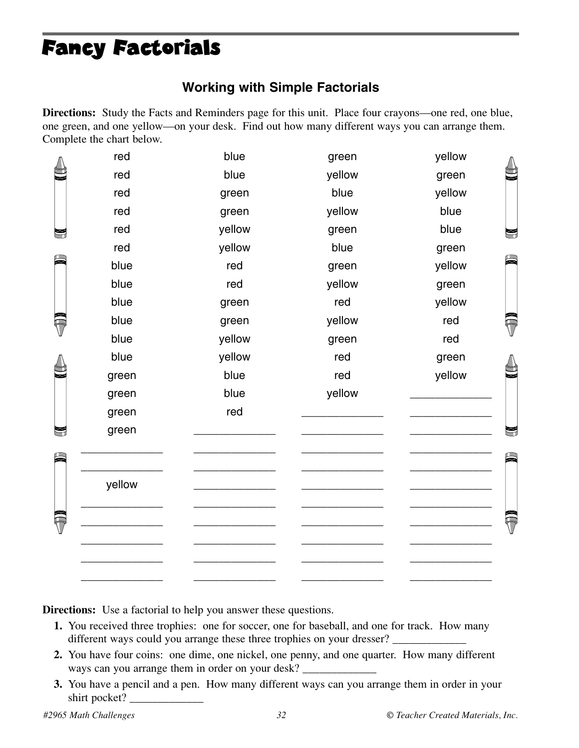# Fancy Factorials

### **Working with Simple Factorials**

**Directions:** Study the Facts and Reminders page for this unit. Place four crayons—one red, one blue, one green, and one yellow—on your desk. Find out how many different ways you can arrange them. Complete the chart below.

|  | red    | blue   | green  | yellow |  |
|--|--------|--------|--------|--------|--|
|  | red    | blue   | yellow | green  |  |
|  | red    | green  | blue   | yellow |  |
|  | red    | green  | yellow | blue   |  |
|  | red    | yellow | green  | blue   |  |
|  | red    | yellow | blue   | green  |  |
|  | blue   | red    | green  | yellow |  |
|  | blue   | red    | yellow | green  |  |
|  | blue   | green  | red    | yellow |  |
|  | blue   | green  | yellow | red    |  |
|  | blue   | yellow | green  | red    |  |
|  | blue   | yellow | red    | green  |  |
|  | green  | blue   | red    | yellow |  |
|  | green  | blue   | yellow |        |  |
|  | green  | red    |        |        |  |
|  | green  |        |        |        |  |
|  |        |        |        |        |  |
|  |        |        |        |        |  |
|  | yellow |        |        |        |  |
|  |        |        |        |        |  |
|  |        |        |        |        |  |
|  |        |        |        |        |  |
|  |        |        |        |        |  |

**Directions:** Use a factorial to help you answer these questions.

**1.** You received three trophies: one for soccer, one for baseball, and one for track. How many different ways could you arrange these three trophies on your dresser?

\_\_\_\_\_\_\_\_\_\_\_\_\_ \_\_\_\_\_\_\_\_\_\_\_\_\_ \_\_\_\_\_\_\_\_\_\_\_\_\_ \_\_\_\_\_\_\_\_\_\_\_\_\_

- **2.** You have four coins: one dime, one nickel, one penny, and one quarter. How many different ways can you arrange them in order on your desk?
- **3.** You have a pencil and a pen. How many different ways can you arrange them in order in your shirt pocket?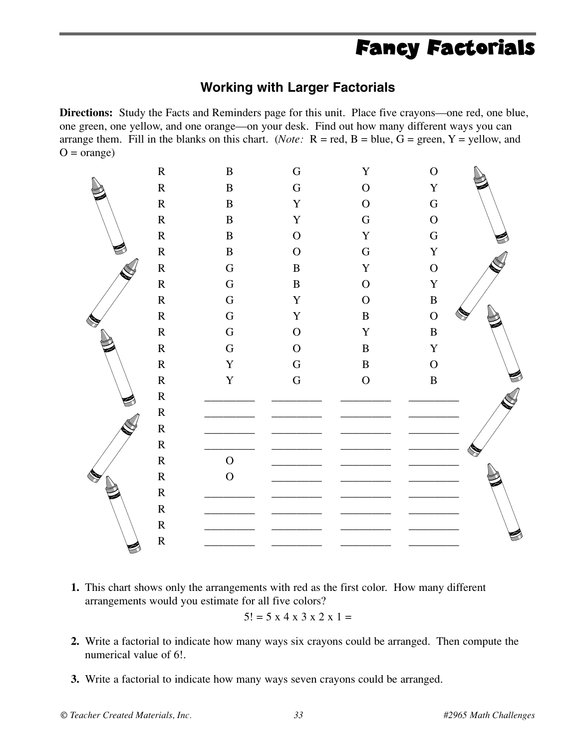## Fancy Factorials

#### **Working with Larger Factorials**

**Directions:** Study the Facts and Reminders page for this unit. Place five crayons—one red, one blue, one green, one yellow, and one orange—on your desk. Find out how many different ways you can arrange them. Fill in the blanks on this chart. (*Note:*  $R = red$ ,  $B = blue$ ,  $G = green$ ,  $Y = yellow$ , and  $O = \text{orange}$ )



**1.** This chart shows only the arrangements with red as the first color. How many different arrangements would you estimate for all five colors?

$$
5! = 5 \times 4 \times 3 \times 2 \times 1 =
$$

- **2.** Write a factorial to indicate how many ways six crayons could be arranged. Then compute the numerical value of 6!.
- **3.** Write a factorial to indicate how many ways seven crayons could be arranged.